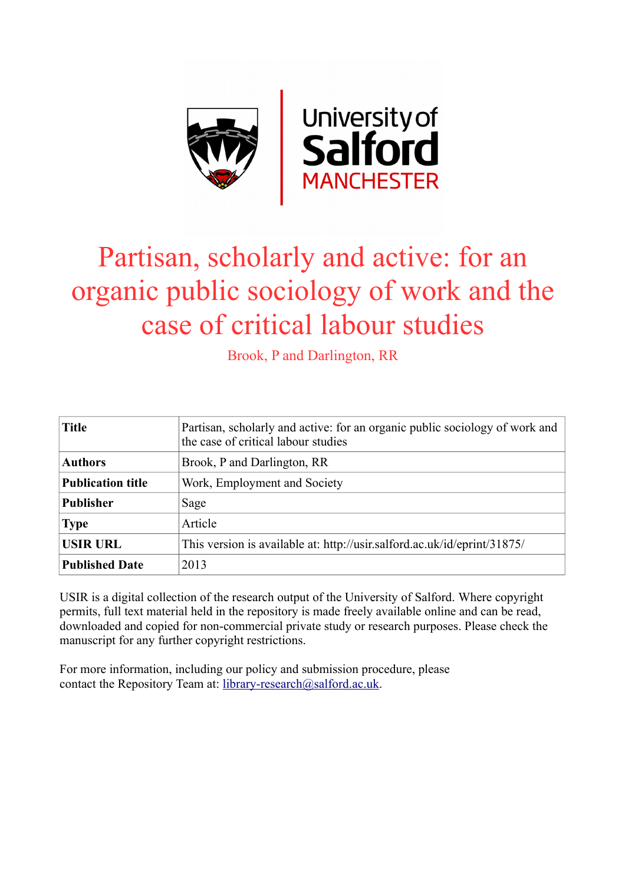

# Partisan, scholarly and active: for an organic public sociology of work and the case of critical labour studies

Brook, P and Darlington, RR

| <b>Title</b>             | Partisan, scholarly and active: for an organic public sociology of work and<br>the case of critical labour studies |
|--------------------------|--------------------------------------------------------------------------------------------------------------------|
| <b>Authors</b>           | Brook, P and Darlington, RR                                                                                        |
| <b>Publication title</b> | Work, Employment and Society                                                                                       |
| <b>Publisher</b>         | Sage                                                                                                               |
| <b>Type</b>              | Article                                                                                                            |
| <b>USIR URL</b>          | This version is available at: http://usir.salford.ac.uk/id/eprint/31875/                                           |
| <b>Published Date</b>    | 2013                                                                                                               |

USIR is a digital collection of the research output of the University of Salford. Where copyright permits, full text material held in the repository is made freely available online and can be read, downloaded and copied for non-commercial private study or research purposes. Please check the manuscript for any further copyright restrictions.

For more information, including our policy and submission procedure, please contact the Repository Team at: [library-research@salford.ac.uk.](mailto:library-research@salford.ac.uk)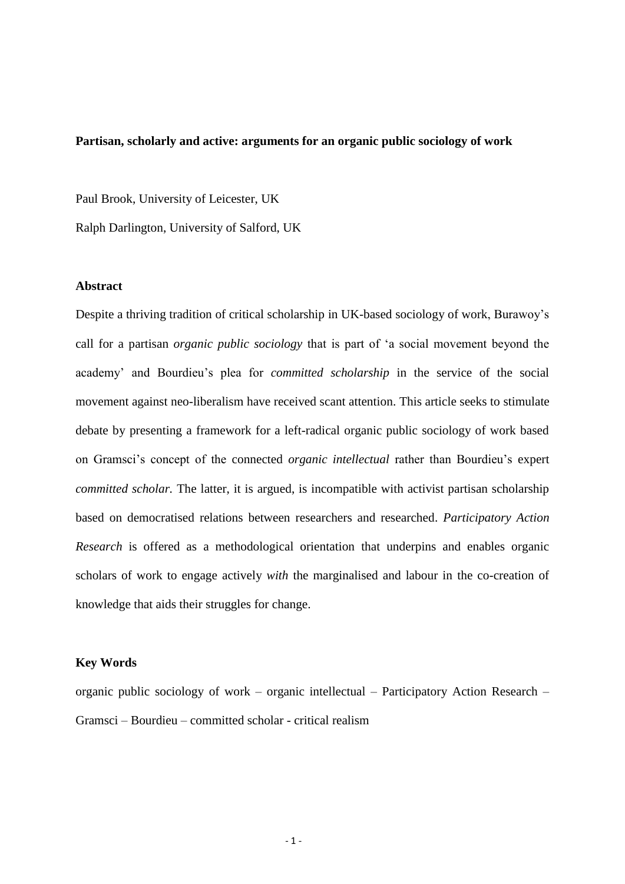# **Partisan, scholarly and active: arguments for an organic public sociology of work**

Paul Brook, University of Leicester, UK Ralph Darlington, University of Salford, UK

## **Abstract**

Despite a thriving tradition of critical scholarship in UK-based sociology of work, Burawoy's call for a partisan *organic public sociology* that is part of 'a social movement beyond the academy' and Bourdieu's plea for *committed scholarship* in the service of the social movement against neo-liberalism have received scant attention. This article seeks to stimulate debate by presenting a framework for a left-radical organic public sociology of work based on Gramsci's concept of the connected *organic intellectual* rather than Bourdieu's expert *committed scholar.* The latter, it is argued, is incompatible with activist partisan scholarship based on democratised relations between researchers and researched. *Participatory Action Research* is offered as a methodological orientation that underpins and enables organic scholars of work to engage actively *with* the marginalised and labour in the co-creation of knowledge that aids their struggles for change.

# **Key Words**

organic public sociology of work – organic intellectual – Participatory Action Research – Gramsci – Bourdieu – committed scholar - critical realism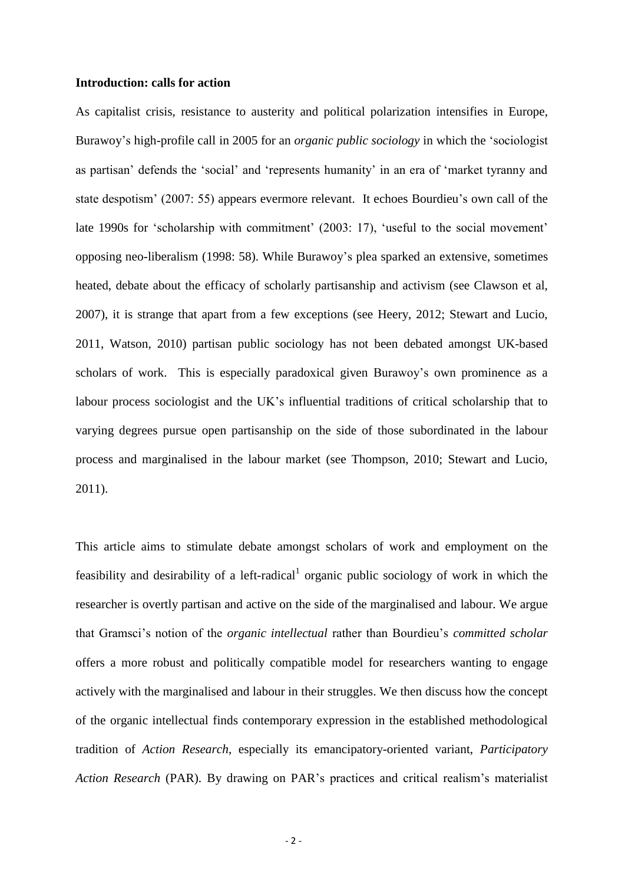## **Introduction: calls for action**

As capitalist crisis, resistance to austerity and political polarization intensifies in Europe, Burawoy's high-profile call in 2005 for an *organic public sociology* in which the 'sociologist as partisan' defends the 'social' and 'represents humanity' in an era of 'market tyranny and state despotism' (2007: 55) appears evermore relevant. It echoes Bourdieu's own call of the late 1990s for 'scholarship with commitment' (2003: 17), 'useful to the social movement' opposing neo-liberalism (1998: 58). While Burawoy's plea sparked an extensive, sometimes heated, debate about the efficacy of scholarly partisanship and activism (see Clawson et al, 2007), it is strange that apart from a few exceptions (see Heery, 2012; Stewart and Lucio, 2011, Watson, 2010) partisan public sociology has not been debated amongst UK-based scholars of work. This is especially paradoxical given Burawoy's own prominence as a labour process sociologist and the UK's influential traditions of critical scholarship that to varying degrees pursue open partisanship on the side of those subordinated in the labour process and marginalised in the labour market (see Thompson, 2010; Stewart and Lucio, 2011).

This article aims to stimulate debate amongst scholars of work and employment on the feasibility and desirability of a left-radical<sup>1</sup> organic public sociology of work in which the researcher is overtly partisan and active on the side of the marginalised and labour. We argue that Gramsci's notion of the *organic intellectual* rather than Bourdieu's *committed scholar*  offers a more robust and politically compatible model for researchers wanting to engage actively with the marginalised and labour in their struggles. We then discuss how the concept of the organic intellectual finds contemporary expression in the established methodological tradition of *Action Research*, especially its emancipatory-oriented variant, *Participatory Action Research* (PAR). By drawing on PAR's practices and critical realism's materialist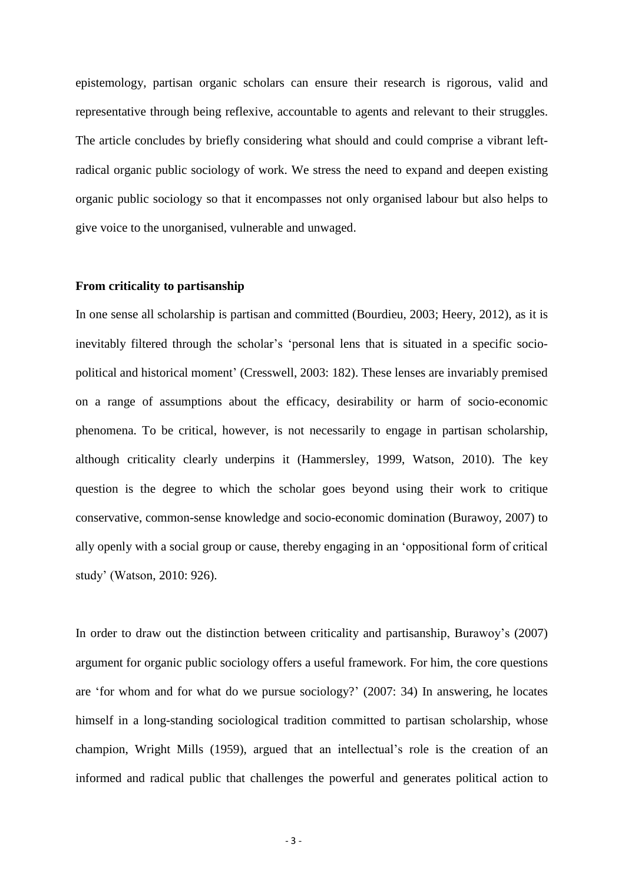epistemology, partisan organic scholars can ensure their research is rigorous, valid and representative through being reflexive, accountable to agents and relevant to their struggles. The article concludes by briefly considering what should and could comprise a vibrant leftradical organic public sociology of work. We stress the need to expand and deepen existing organic public sociology so that it encompasses not only organised labour but also helps to give voice to the unorganised, vulnerable and unwaged.

## **From criticality to partisanship**

In one sense all scholarship is partisan and committed (Bourdieu, 2003; Heery, 2012), as it is inevitably filtered through the scholar's 'personal lens that is situated in a specific sociopolitical and historical moment' (Cresswell, 2003: 182). These lenses are invariably premised on a range of assumptions about the efficacy, desirability or harm of socio-economic phenomena. To be critical, however, is not necessarily to engage in partisan scholarship, although criticality clearly underpins it (Hammersley, 1999, Watson, 2010). The key question is the degree to which the scholar goes beyond using their work to critique conservative, common-sense knowledge and socio-economic domination (Burawoy, 2007) to ally openly with a social group or cause, thereby engaging in an 'oppositional form of critical study' (Watson, 2010: 926).

In order to draw out the distinction between criticality and partisanship, Burawoy's (2007) argument for organic public sociology offers a useful framework. For him, the core questions are 'for whom and for what do we pursue sociology?' (2007: 34) In answering, he locates himself in a long-standing sociological tradition committed to partisan scholarship, whose champion, Wright Mills (1959), argued that an intellectual's role is the creation of an informed and radical public that challenges the powerful and generates political action to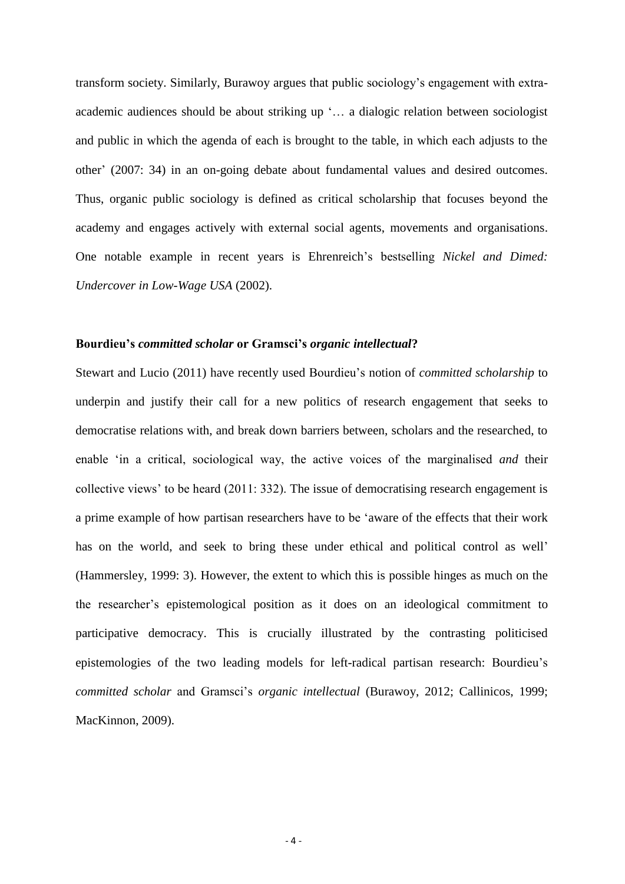transform society. Similarly, Burawoy argues that public sociology's engagement with extraacademic audiences should be about striking up '… a dialogic relation between sociologist and public in which the agenda of each is brought to the table, in which each adjusts to the other' (2007: 34) in an on-going debate about fundamental values and desired outcomes. Thus, organic public sociology is defined as critical scholarship that focuses beyond the academy and engages actively with external social agents, movements and organisations. One notable example in recent years is Ehrenreich's bestselling *Nickel and Dimed: Undercover in Low-Wage USA* (2002).

## **Bourdieu's** *committed scholar* **or Gramsci's** *organic intellectual***?**

Stewart and Lucio (2011) have recently used Bourdieu's notion of *committed scholarship* to underpin and justify their call for a new politics of research engagement that seeks to democratise relations with, and break down barriers between, scholars and the researched, to enable 'in a critical, sociological way, the active voices of the marginalised *and* their collective views' to be heard (2011: 332). The issue of democratising research engagement is a prime example of how partisan researchers have to be 'aware of the effects that their work has on the world, and seek to bring these under ethical and political control as well' (Hammersley, 1999: 3). However, the extent to which this is possible hinges as much on the the researcher's epistemological position as it does on an ideological commitment to participative democracy. This is crucially illustrated by the contrasting politicised epistemologies of the two leading models for left-radical partisan research: Bourdieu's *committed scholar* and Gramsci's *organic intellectual* (Burawoy, 2012; Callinicos, 1999; MacKinnon, 2009).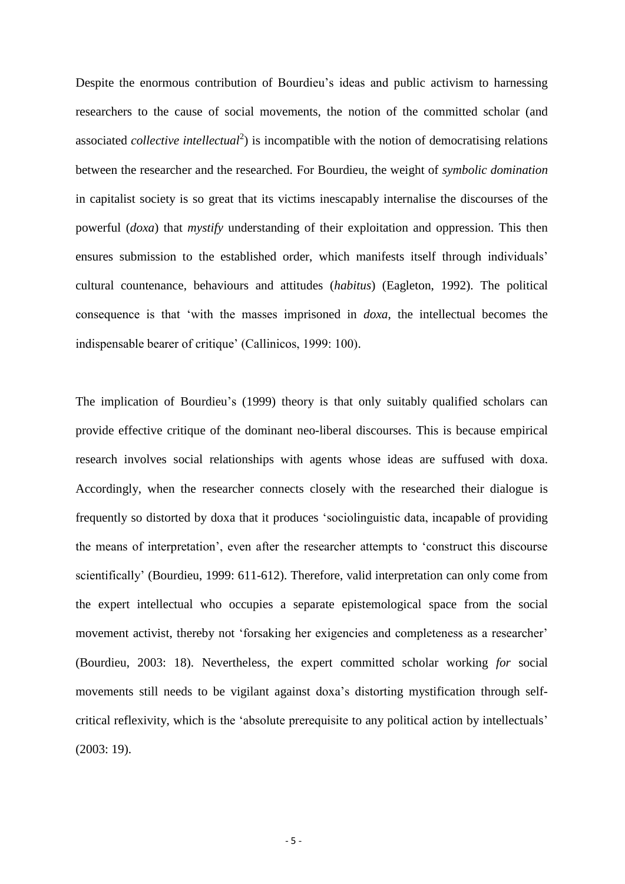Despite the enormous contribution of Bourdieu's ideas and public activism to harnessing researchers to the cause of social movements, the notion of the committed scholar (and associated *collective intellectual*<sup>2</sup>) is incompatible with the notion of democratising relations between the researcher and the researched. For Bourdieu, the weight of *symbolic domination* in capitalist society is so great that its victims inescapably internalise the discourses of the powerful (*doxa*) that *mystify* understanding of their exploitation and oppression. This then ensures submission to the established order, which manifests itself through individuals' cultural countenance, behaviours and attitudes (*habitus*) (Eagleton, 1992). The political consequence is that 'with the masses imprisoned in *doxa*, the intellectual becomes the indispensable bearer of critique' (Callinicos, 1999: 100).

The implication of Bourdieu's (1999) theory is that only suitably qualified scholars can provide effective critique of the dominant neo-liberal discourses. This is because empirical research involves social relationships with agents whose ideas are suffused with doxa. Accordingly, when the researcher connects closely with the researched their dialogue is frequently so distorted by doxa that it produces 'sociolinguistic data, incapable of providing the means of interpretation', even after the researcher attempts to 'construct this discourse scientifically' (Bourdieu, 1999: 611-612). Therefore, valid interpretation can only come from the expert intellectual who occupies a separate epistemological space from the social movement activist, thereby not 'forsaking her exigencies and completeness as a researcher' (Bourdieu, 2003: 18). Nevertheless, the expert committed scholar working *for* social movements still needs to be vigilant against doxa's distorting mystification through selfcritical reflexivity, which is the 'absolute prerequisite to any political action by intellectuals' (2003: 19).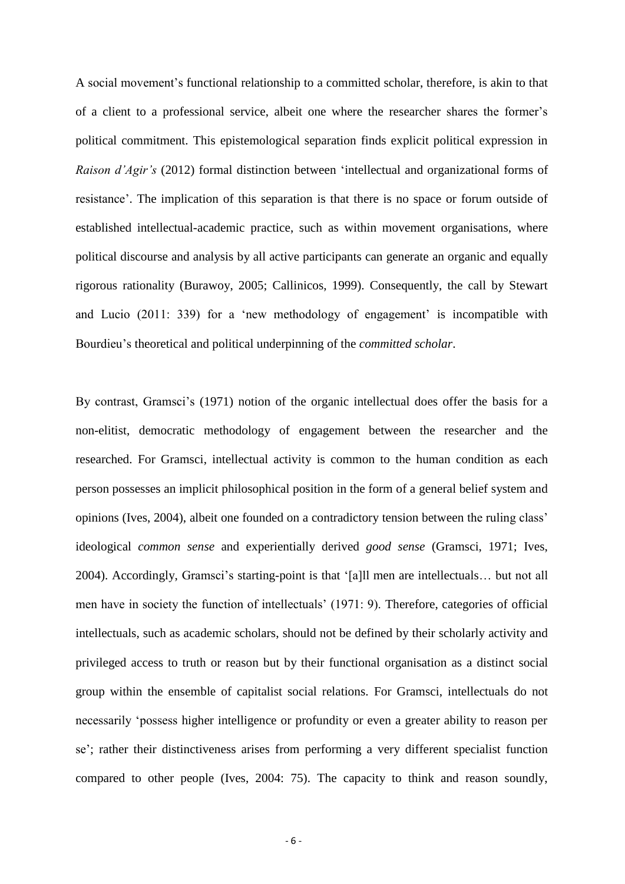A social movement's functional relationship to a committed scholar, therefore, is akin to that of a client to a professional service, albeit one where the researcher shares the former's political commitment. This epistemological separation finds explicit political expression in *Raison d'Agir's* (2012) formal distinction between 'intellectual and organizational forms of resistance'. The implication of this separation is that there is no space or forum outside of established intellectual-academic practice, such as within movement organisations, where political discourse and analysis by all active participants can generate an organic and equally rigorous rationality (Burawoy, 2005; Callinicos, 1999). Consequently, the call by Stewart and Lucio (2011: 339) for a 'new methodology of engagement' is incompatible with Bourdieu's theoretical and political underpinning of the *committed scholar*.

By contrast, Gramsci's (1971) notion of the organic intellectual does offer the basis for a non-elitist, democratic methodology of engagement between the researcher and the researched. For Gramsci, intellectual activity is common to the human condition as each person possesses an implicit philosophical position in the form of a general belief system and opinions (Ives, 2004), albeit one founded on a contradictory tension between the ruling class' ideological *common sense* and experientially derived *good sense* (Gramsci, 1971; Ives, 2004). Accordingly, Gramsci's starting-point is that '[a]ll men are intellectuals… but not all men have in society the function of intellectuals' (1971: 9). Therefore, categories of official intellectuals, such as academic scholars, should not be defined by their scholarly activity and privileged access to truth or reason but by their functional organisation as a distinct social group within the ensemble of capitalist social relations. For Gramsci, intellectuals do not necessarily 'possess higher intelligence or profundity or even a greater ability to reason per se'; rather their distinctiveness arises from performing a very different specialist function compared to other people (Ives, 2004: 75). The capacity to think and reason soundly,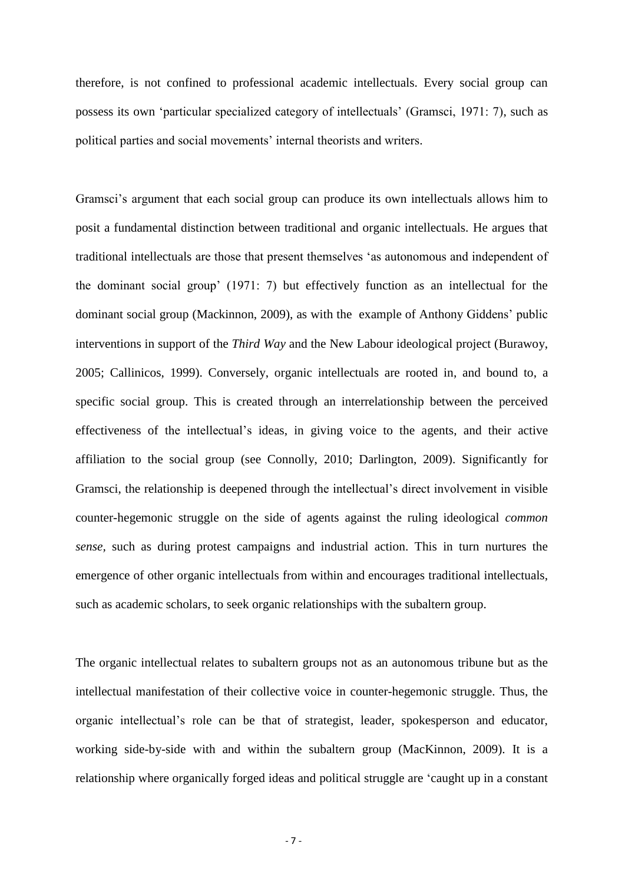therefore, is not confined to professional academic intellectuals. Every social group can possess its own 'particular specialized category of intellectuals' (Gramsci, 1971: 7), such as political parties and social movements' internal theorists and writers.

Gramsci's argument that each social group can produce its own intellectuals allows him to posit a fundamental distinction between traditional and organic intellectuals. He argues that traditional intellectuals are those that present themselves 'as autonomous and independent of the dominant social group' (1971: 7) but effectively function as an intellectual for the dominant social group (Mackinnon, 2009), as with the example of Anthony Giddens' public interventions in support of the *Third Way* and the New Labour ideological project (Burawoy, 2005; Callinicos, 1999). Conversely, organic intellectuals are rooted in, and bound to, a specific social group. This is created through an interrelationship between the perceived effectiveness of the intellectual's ideas, in giving voice to the agents, and their active affiliation to the social group (see Connolly, 2010; Darlington, 2009). Significantly for Gramsci, the relationship is deepened through the intellectual's direct involvement in visible counter-hegemonic struggle on the side of agents against the ruling ideological *common sense,* such as during protest campaigns and industrial action. This in turn nurtures the emergence of other organic intellectuals from within and encourages traditional intellectuals, such as academic scholars, to seek organic relationships with the subaltern group.

The organic intellectual relates to subaltern groups not as an autonomous tribune but as the intellectual manifestation of their collective voice in counter-hegemonic struggle. Thus, the organic intellectual's role can be that of strategist, leader, spokesperson and educator, working side-by-side with and within the subaltern group (MacKinnon, 2009). It is a relationship where organically forged ideas and political struggle are 'caught up in a constant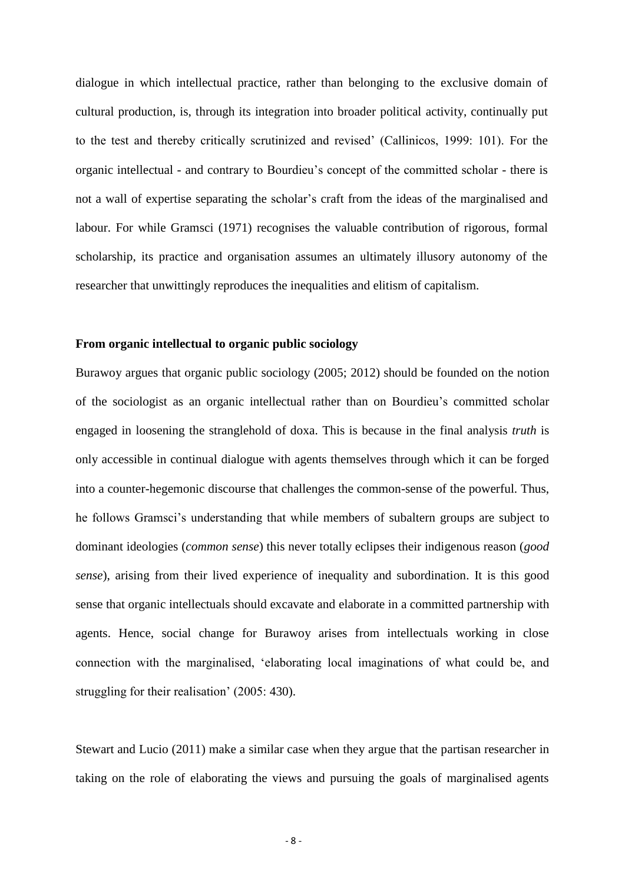dialogue in which intellectual practice, rather than belonging to the exclusive domain of cultural production, is, through its integration into broader political activity, continually put to the test and thereby critically scrutinized and revised' (Callinicos, 1999: 101). For the organic intellectual - and contrary to Bourdieu's concept of the committed scholar - there is not a wall of expertise separating the scholar's craft from the ideas of the marginalised and labour. For while Gramsci (1971) recognises the valuable contribution of rigorous, formal scholarship, its practice and organisation assumes an ultimately illusory autonomy of the researcher that unwittingly reproduces the inequalities and elitism of capitalism.

# **From organic intellectual to organic public sociology**

Burawoy argues that organic public sociology (2005; 2012) should be founded on the notion of the sociologist as an organic intellectual rather than on Bourdieu's committed scholar engaged in loosening the stranglehold of doxa. This is because in the final analysis *truth* is only accessible in continual dialogue with agents themselves through which it can be forged into a counter-hegemonic discourse that challenges the common-sense of the powerful. Thus, he follows Gramsci's understanding that while members of subaltern groups are subject to dominant ideologies (*common sense*) this never totally eclipses their indigenous reason (*good sense*), arising from their lived experience of inequality and subordination. It is this good sense that organic intellectuals should excavate and elaborate in a committed partnership with agents. Hence, social change for Burawoy arises from intellectuals working in close connection with the marginalised, 'elaborating local imaginations of what could be, and struggling for their realisation' (2005: 430).

Stewart and Lucio (2011) make a similar case when they argue that the partisan researcher in taking on the role of elaborating the views and pursuing the goals of marginalised agents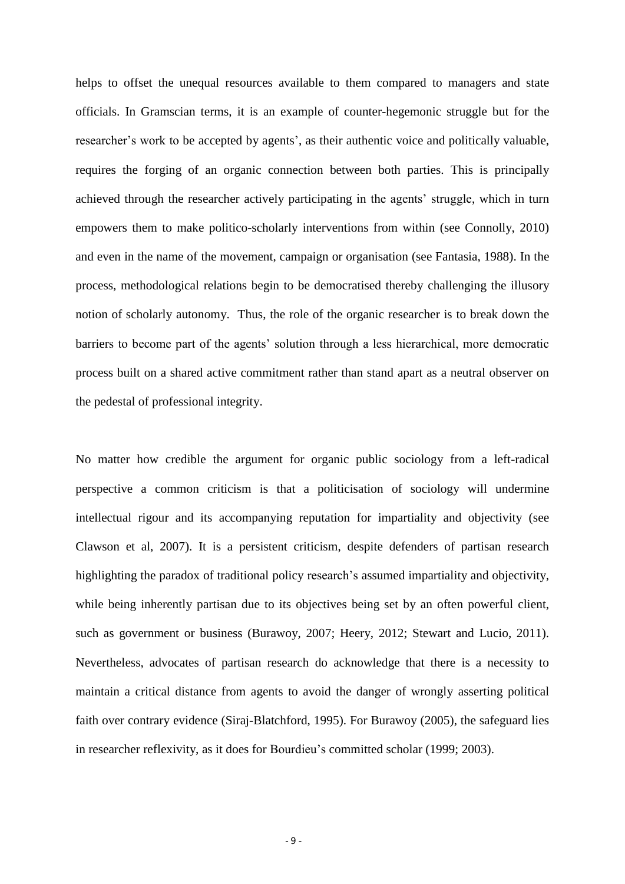helps to offset the unequal resources available to them compared to managers and state officials. In Gramscian terms, it is an example of counter-hegemonic struggle but for the researcher's work to be accepted by agents', as their authentic voice and politically valuable, requires the forging of an organic connection between both parties. This is principally achieved through the researcher actively participating in the agents' struggle, which in turn empowers them to make politico-scholarly interventions from within (see Connolly, 2010) and even in the name of the movement, campaign or organisation (see Fantasia, 1988). In the process, methodological relations begin to be democratised thereby challenging the illusory notion of scholarly autonomy. Thus, the role of the organic researcher is to break down the barriers to become part of the agents' solution through a less hierarchical, more democratic process built on a shared active commitment rather than stand apart as a neutral observer on the pedestal of professional integrity.

No matter how credible the argument for organic public sociology from a left-radical perspective a common criticism is that a politicisation of sociology will undermine intellectual rigour and its accompanying reputation for impartiality and objectivity (see Clawson et al, 2007). It is a persistent criticism, despite defenders of partisan research highlighting the paradox of traditional policy research's assumed impartiality and objectivity, while being inherently partisan due to its objectives being set by an often powerful client, such as government or business (Burawoy, 2007; Heery, 2012; Stewart and Lucio, 2011). Nevertheless, advocates of partisan research do acknowledge that there is a necessity to maintain a critical distance from agents to avoid the danger of wrongly asserting political faith over contrary evidence (Siraj-Blatchford, 1995). For Burawoy (2005), the safeguard lies in researcher reflexivity, as it does for Bourdieu's committed scholar (1999; 2003).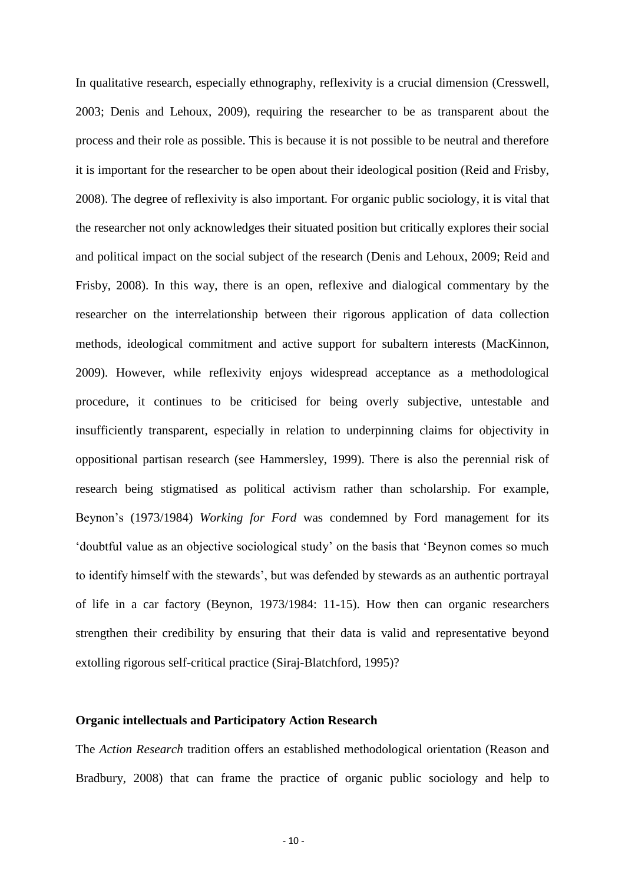In qualitative research, especially ethnography, reflexivity is a crucial dimension (Cresswell, 2003; Denis and Lehoux, 2009), requiring the researcher to be as transparent about the process and their role as possible. This is because it is not possible to be neutral and therefore it is important for the researcher to be open about their ideological position (Reid and Frisby, 2008). The degree of reflexivity is also important. For organic public sociology, it is vital that the researcher not only acknowledges their situated position but critically explores their social and political impact on the social subject of the research (Denis and Lehoux, 2009; Reid and Frisby, 2008). In this way, there is an open, reflexive and dialogical commentary by the researcher on the interrelationship between their rigorous application of data collection methods, ideological commitment and active support for subaltern interests (MacKinnon, 2009). However, while reflexivity enjoys widespread acceptance as a methodological procedure, it continues to be criticised for being overly subjective, untestable and insufficiently transparent, especially in relation to underpinning claims for objectivity in oppositional partisan research (see Hammersley, 1999). There is also the perennial risk of research being stigmatised as political activism rather than scholarship. For example, Beynon's (1973/1984) *Working for Ford* was condemned by Ford management for its 'doubtful value as an objective sociological study' on the basis that 'Beynon comes so much to identify himself with the stewards', but was defended by stewards as an authentic portrayal of life in a car factory (Beynon, 1973/1984: 11-15). How then can organic researchers strengthen their credibility by ensuring that their data is valid and representative beyond extolling rigorous self-critical practice (Siraj-Blatchford, 1995)?

# **Organic intellectuals and Participatory Action Research**

The *Action Research* tradition offers an established methodological orientation (Reason and Bradbury, 2008) that can frame the practice of organic public sociology and help to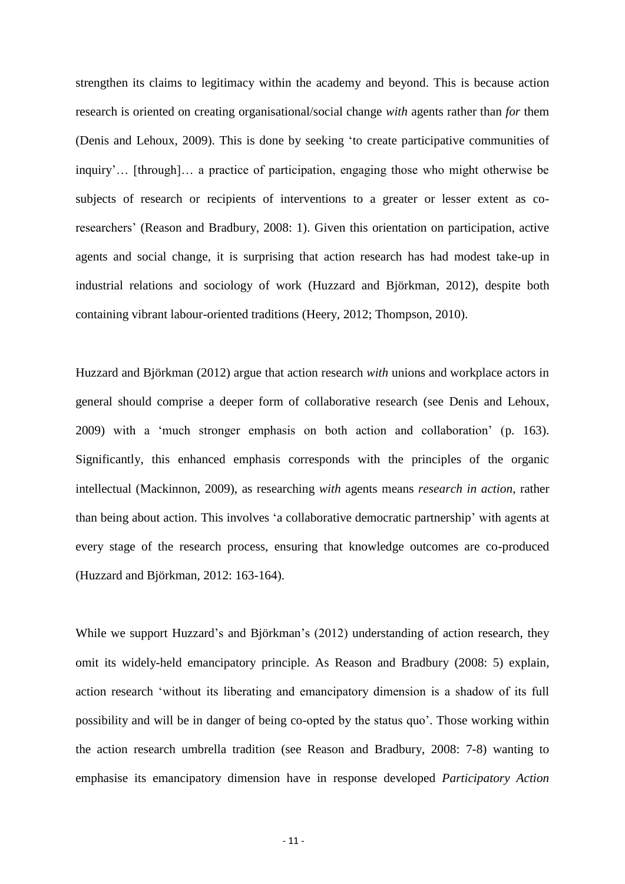strengthen its claims to legitimacy within the academy and beyond. This is because action research is oriented on creating organisational/social change *with* agents rather than *for* them (Denis and Lehoux, 2009). This is done by seeking 'to create participative communities of inquiry'… [through]… a practice of participation, engaging those who might otherwise be subjects of research or recipients of interventions to a greater or lesser extent as coresearchers' (Reason and Bradbury, 2008: 1). Given this orientation on participation, active agents and social change, it is surprising that action research has had modest take-up in industrial relations and sociology of work (Huzzard and Björkman, 2012), despite both containing vibrant labour-oriented traditions (Heery, 2012; Thompson, 2010).

Huzzard and Björkman (2012) argue that action research *with* unions and workplace actors in general should comprise a deeper form of collaborative research (see Denis and Lehoux, 2009) with a 'much stronger emphasis on both action and collaboration' (p. 163). Significantly, this enhanced emphasis corresponds with the principles of the organic intellectual (Mackinnon, 2009), as researching *with* agents means *research in action*, rather than being about action. This involves 'a collaborative democratic partnership' with agents at every stage of the research process, ensuring that knowledge outcomes are co-produced (Huzzard and Björkman, 2012: 163-164).

While we support Huzzard's and Björkman's (2012) understanding of action research, they omit its widely-held emancipatory principle. As Reason and Bradbury (2008: 5) explain, action research 'without its liberating and emancipatory dimension is a shadow of its full possibility and will be in danger of being co-opted by the status quo'. Those working within the action research umbrella tradition (see Reason and Bradbury, 2008: 7-8) wanting to emphasise its emancipatory dimension have in response developed *Participatory Action*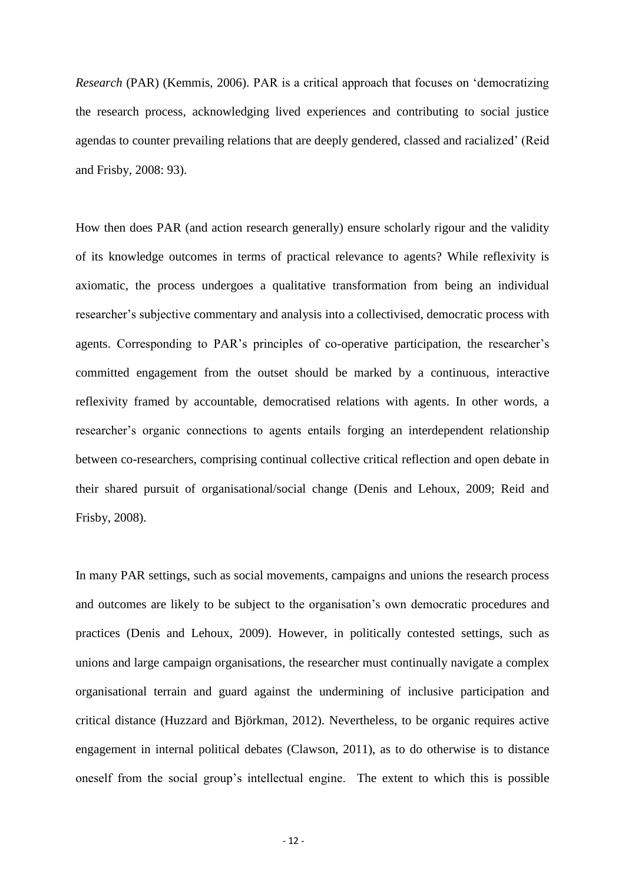*Research* (PAR) (Kemmis, 2006). PAR is a critical approach that focuses on 'democratizing the research process, acknowledging lived experiences and contributing to social justice agendas to counter prevailing relations that are deeply gendered, classed and racialized' (Reid and Frisby, 2008: 93).

How then does PAR (and action research generally) ensure scholarly rigour and the validity of its knowledge outcomes in terms of practical relevance to agents? While reflexivity is axiomatic, the process undergoes a qualitative transformation from being an individual researcher's subjective commentary and analysis into a collectivised, democratic process with agents. Corresponding to PAR's principles of co-operative participation, the researcher's committed engagement from the outset should be marked by a continuous, interactive reflexivity framed by accountable, democratised relations with agents. In other words, a researcher's organic connections to agents entails forging an interdependent relationship between co-researchers, comprising continual collective critical reflection and open debate in their shared pursuit of organisational/social change (Denis and Lehoux, 2009; Reid and Frisby, 2008).

In many PAR settings, such as social movements, campaigns and unions the research process and outcomes are likely to be subject to the organisation's own democratic procedures and practices (Denis and Lehoux, 2009). However, in politically contested settings, such as unions and large campaign organisations, the researcher must continually navigate a complex organisational terrain and guard against the undermining of inclusive participation and critical distance (Huzzard and Björkman, 2012). Nevertheless, to be organic requires active engagement in internal political debates (Clawson, 2011), as to do otherwise is to distance oneself from the social group's intellectual engine. The extent to which this is possible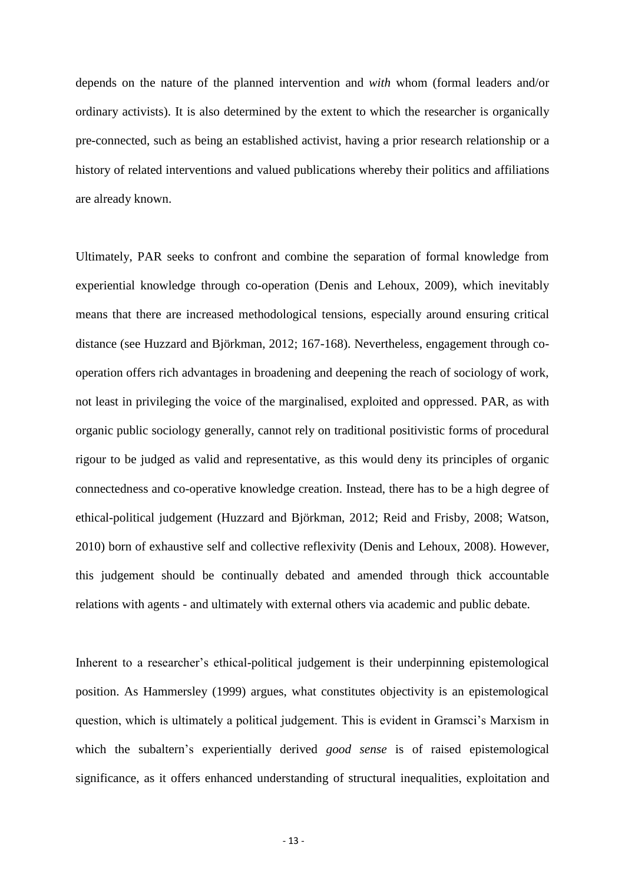depends on the nature of the planned intervention and *with* whom (formal leaders and/or ordinary activists). It is also determined by the extent to which the researcher is organically pre-connected, such as being an established activist, having a prior research relationship or a history of related interventions and valued publications whereby their politics and affiliations are already known.

Ultimately, PAR seeks to confront and combine the separation of formal knowledge from experiential knowledge through co-operation (Denis and Lehoux, 2009), which inevitably means that there are increased methodological tensions, especially around ensuring critical distance (see Huzzard and Björkman, 2012; 167-168). Nevertheless, engagement through cooperation offers rich advantages in broadening and deepening the reach of sociology of work, not least in privileging the voice of the marginalised, exploited and oppressed. PAR, as with organic public sociology generally, cannot rely on traditional positivistic forms of procedural rigour to be judged as valid and representative, as this would deny its principles of organic connectedness and co-operative knowledge creation. Instead, there has to be a high degree of ethical-political judgement (Huzzard and Björkman, 2012; Reid and Frisby, 2008; Watson, 2010) born of exhaustive self and collective reflexivity (Denis and Lehoux, 2008). However, this judgement should be continually debated and amended through thick accountable relations with agents - and ultimately with external others via academic and public debate.

Inherent to a researcher's ethical-political judgement is their underpinning epistemological position. As Hammersley (1999) argues, what constitutes objectivity is an epistemological question, which is ultimately a political judgement. This is evident in Gramsci's Marxism in which the subaltern's experientially derived *good sense* is of raised epistemological significance, as it offers enhanced understanding of structural inequalities, exploitation and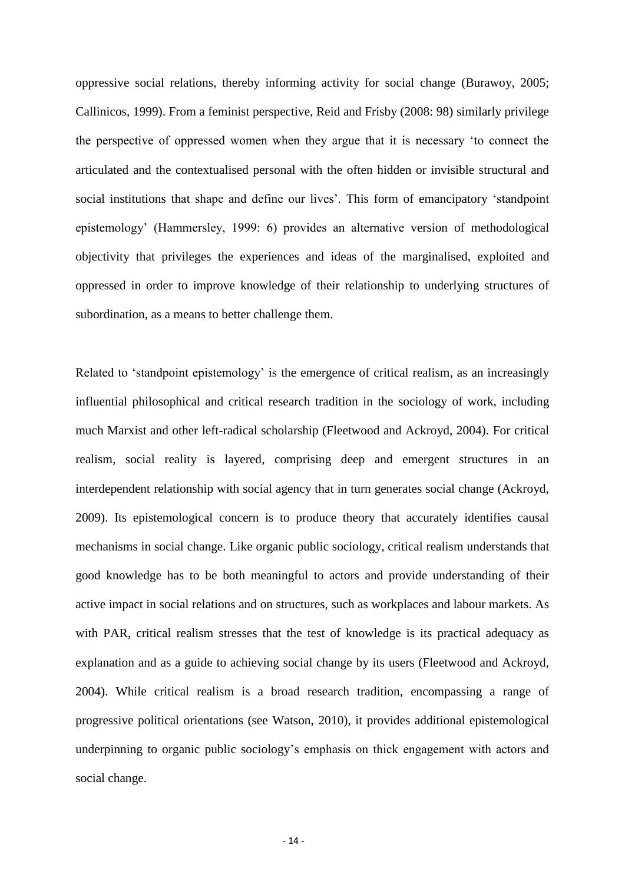oppressive social relations, thereby informing activity for social change (Burawoy, 2005; Callinicos, 1999). From a feminist perspective, Reid and Frisby (2008: 98) similarly privilege the perspective of oppressed women when they argue that it is necessary 'to connect the articulated and the contextualised personal with the often hidden or invisible structural and social institutions that shape and define our lives'. This form of emancipatory 'standpoint epistemology' (Hammersley, 1999: 6) provides an alternative version of methodological objectivity that privileges the experiences and ideas of the marginalised, exploited and oppressed in order to improve knowledge of their relationship to underlying structures of subordination, as a means to better challenge them.

Related to 'standpoint epistemology' is the emergence of critical realism, as an increasingly influential philosophical and critical research tradition in the sociology of work, including much Marxist and other left-radical scholarship (Fleetwood and Ackroyd, 2004). For critical realism, social reality is layered, comprising deep and emergent structures in an interdependent relationship with social agency that in turn generates social change (Ackroyd, 2009). Its epistemological concern is to produce theory that accurately identifies causal mechanisms in social change. Like organic public sociology, critical realism understands that good knowledge has to be both meaningful to actors and provide understanding of their active impact in social relations and on structures, such as workplaces and labour markets. As with PAR, critical realism stresses that the test of knowledge is its practical adequacy as explanation and as a guide to achieving social change by its users (Fleetwood and Ackroyd, 2004). While critical realism is a broad research tradition, encompassing a range of progressive political orientations (see Watson, 2010), it provides additional epistemological underpinning to organic public sociology's emphasis on thick engagement with actors and social change.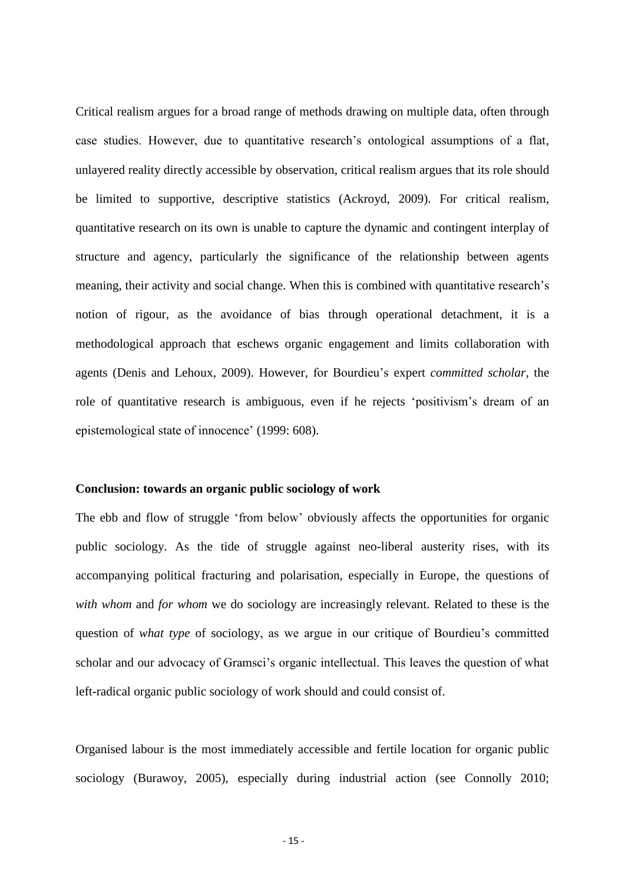Critical realism argues for a broad range of methods drawing on multiple data, often through case studies. However, due to quantitative research's ontological assumptions of a flat, unlayered reality directly accessible by observation, critical realism argues that its role should be limited to supportive, descriptive statistics (Ackroyd, 2009). For critical realism, quantitative research on its own is unable to capture the dynamic and contingent interplay of structure and agency, particularly the significance of the relationship between agents meaning, their activity and social change. When this is combined with quantitative research's notion of rigour, as the avoidance of bias through operational detachment, it is a methodological approach that eschews organic engagement and limits collaboration with agents (Denis and Lehoux, 2009). However, for Bourdieu's expert *committed scholar*, the role of quantitative research is ambiguous, even if he rejects 'positivism's dream of an epistemological state of innocence' (1999: 608).

## **Conclusion: towards an organic public sociology of work**

The ebb and flow of struggle 'from below' obviously affects the opportunities for organic public sociology. As the tide of struggle against neo-liberal austerity rises, with its accompanying political fracturing and polarisation, especially in Europe, the questions of *with whom* and *for whom* we do sociology are increasingly relevant. Related to these is the question of *what type* of sociology, as we argue in our critique of Bourdieu's committed scholar and our advocacy of Gramsci's organic intellectual. This leaves the question of what left-radical organic public sociology of work should and could consist of.

Organised labour is the most immediately accessible and fertile location for organic public sociology (Burawoy, 2005), especially during industrial action (see Connolly 2010;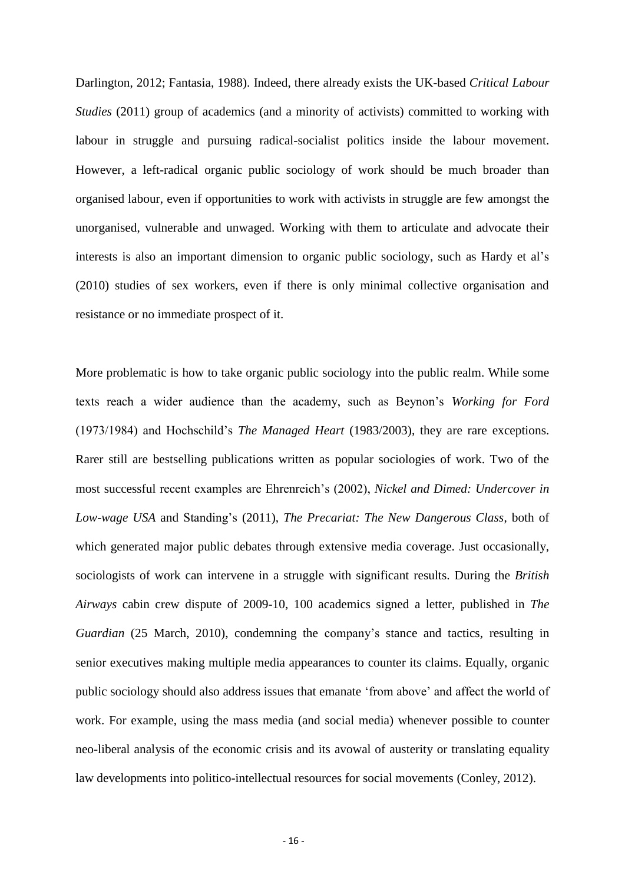Darlington, 2012; Fantasia, 1988). Indeed, there already exists the UK-based *Critical Labour Studies* (2011) group of academics (and a minority of activists) committed to working with labour in struggle and pursuing radical-socialist politics inside the labour movement. However, a left-radical organic public sociology of work should be much broader than organised labour, even if opportunities to work with activists in struggle are few amongst the unorganised, vulnerable and unwaged. Working with them to articulate and advocate their interests is also an important dimension to organic public sociology, such as Hardy et al's (2010) studies of sex workers, even if there is only minimal collective organisation and resistance or no immediate prospect of it.

More problematic is how to take organic public sociology into the public realm. While some texts reach a wider audience than the academy, such as Beynon's *Working for Ford* (1973/1984) and Hochschild's *The Managed Heart* (1983/2003), they are rare exceptions. Rarer still are bestselling publications written as popular sociologies of work. Two of the most successful recent examples are Ehrenreich's (2002), *Nickel and Dimed: Undercover in Low-wage USA* and Standing's (2011), *The Precariat: The New Dangerous Class*, both of which generated major public debates through extensive media coverage. Just occasionally, sociologists of work can intervene in a struggle with significant results. During the *British Airways* cabin crew dispute of 2009-10, 100 academics signed a letter, published in *The Guardian* (25 March, 2010), condemning the company's stance and tactics, resulting in senior executives making multiple media appearances to counter its claims. Equally, organic public sociology should also address issues that emanate 'from above' and affect the world of work. For example, using the mass media (and social media) whenever possible to counter neo-liberal analysis of the economic crisis and its avowal of austerity or translating equality law developments into politico-intellectual resources for social movements (Conley, 2012).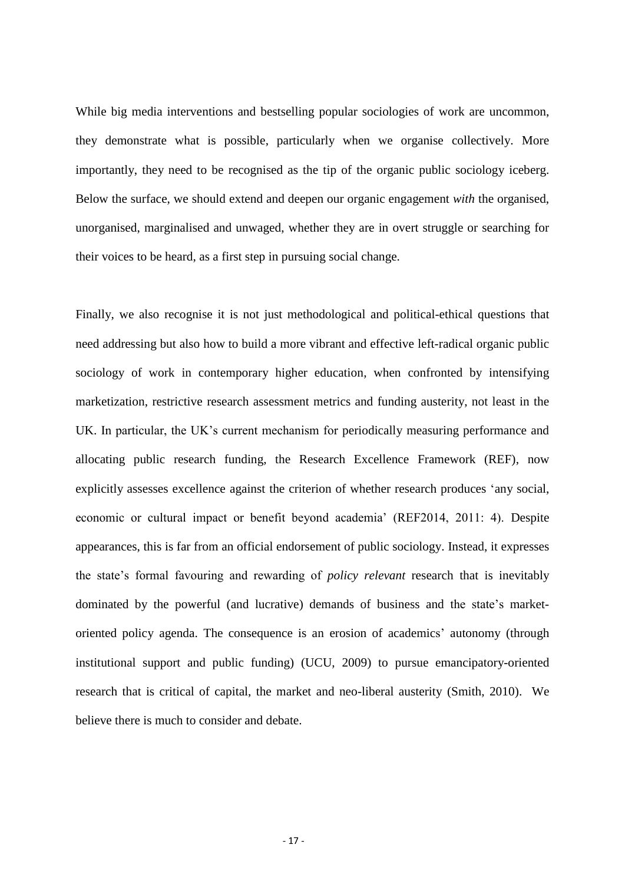While big media interventions and bestselling popular sociologies of work are uncommon, they demonstrate what is possible, particularly when we organise collectively. More importantly, they need to be recognised as the tip of the organic public sociology iceberg. Below the surface, we should extend and deepen our organic engagement *with* the organised, unorganised, marginalised and unwaged, whether they are in overt struggle or searching for their voices to be heard, as a first step in pursuing social change.

Finally, we also recognise it is not just methodological and political-ethical questions that need addressing but also how to build a more vibrant and effective left-radical organic public sociology of work in contemporary higher education, when confronted by intensifying marketization, restrictive research assessment metrics and funding austerity, not least in the UK. In particular, the UK's current mechanism for periodically measuring performance and allocating public research funding, the Research Excellence Framework (REF), now explicitly assesses excellence against the criterion of whether research produces 'any social, economic or cultural impact or benefit beyond academia' (REF2014, 2011: 4). Despite appearances, this is far from an official endorsement of public sociology. Instead, it expresses the state's formal favouring and rewarding of *policy relevant* research that is inevitably dominated by the powerful (and lucrative) demands of business and the state's marketoriented policy agenda. The consequence is an erosion of academics' autonomy (through institutional support and public funding) (UCU, 2009) to pursue emancipatory-oriented research that is critical of capital, the market and neo-liberal austerity (Smith, 2010). We believe there is much to consider and debate.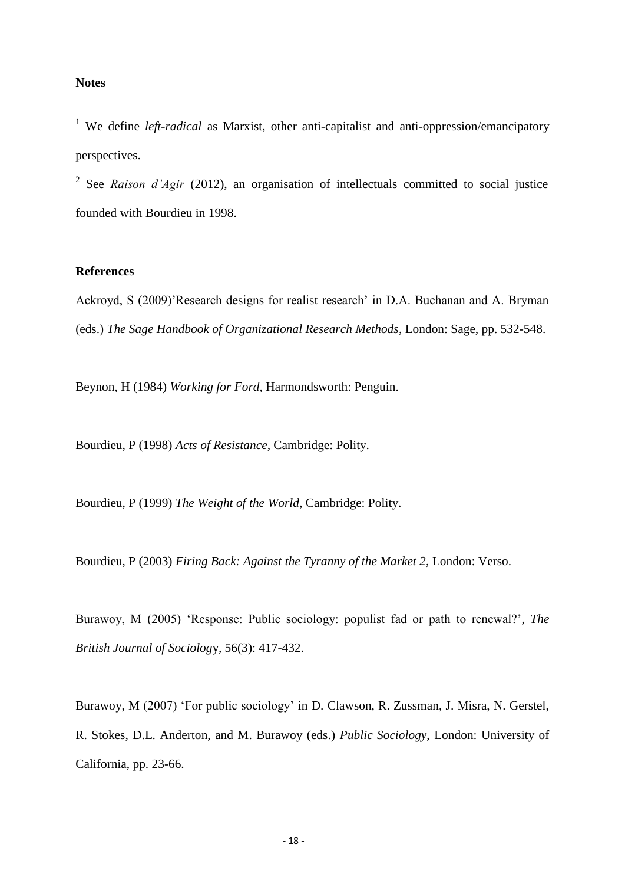## **Notes**

1

<sup>1</sup> We define *left-radical* as Marxist, other anti-capitalist and anti-oppression/emancipatory perspectives.

<sup>2</sup> See *Raison d'Agir* (2012), an organisation of intellectuals committed to social justice founded with Bourdieu in 1998.

# **References**

Ackroyd, S (2009)'Research designs for realist research' in D.A. Buchanan and A. Bryman (eds.) *The Sage Handbook of Organizational Research Methods*, London: Sage, pp. 532-548.

Beynon, H (1984) *Working for Ford,* Harmondsworth: Penguin.

Bourdieu, P (1998) *Acts of Resistance*, Cambridge: Polity.

Bourdieu, P (1999) *The Weight of the World*, Cambridge: Polity.

Bourdieu, P (2003) *Firing Back: Against the Tyranny of the Market 2*, London: Verso.

Burawoy, M (2005) 'Response: Public sociology: populist fad or path to renewal?', *The British Journal of Sociolog*y*,* 56(3): 417-432.

Burawoy, M (2007) 'For public sociology' in D. Clawson, R. Zussman, J. Misra, N. Gerstel, R. Stokes, D.L. Anderton, and M. Burawoy (eds.) *Public Sociology*, London: University of California, pp. 23-66.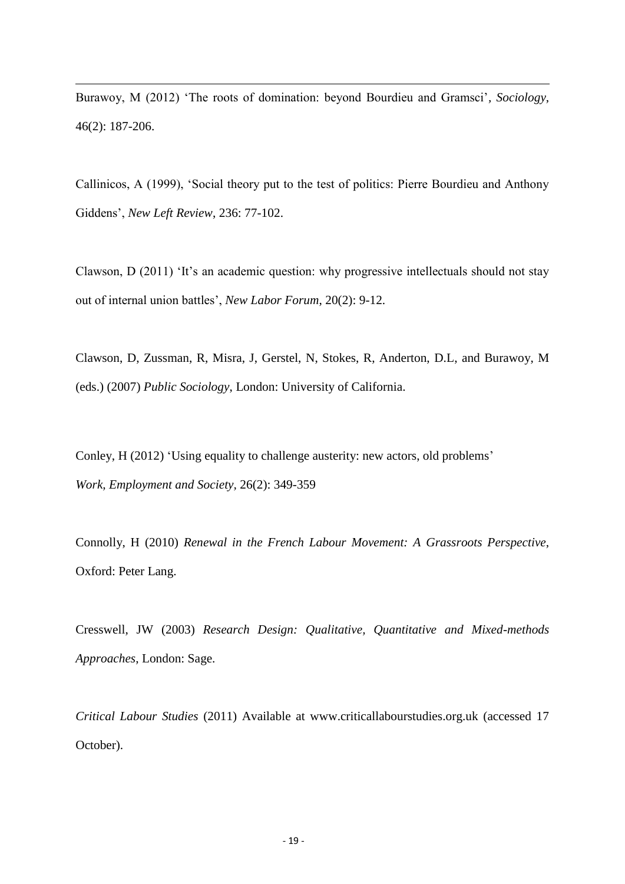Burawoy, M (2012) 'The roots of domination: beyond Bourdieu and Gramsci'*, Sociology*, 46(2): 187-206.

<u>.</u>

Callinicos, A (1999), 'Social theory put to the test of politics: Pierre Bourdieu and Anthony Giddens', *New Left Review*, 236: 77-102.

Clawson, D (2011) 'It's an academic question: why progressive intellectuals should not stay out of internal union battles', *New Labor Forum*, 20(2): 9-12.

Clawson, D, Zussman, R, Misra, J, Gerstel, N, Stokes, R, Anderton, D.L, and Burawoy, M (eds.) (2007) *Public Sociology*, London: University of California.

Conley, H (2012) 'Using equality to challenge austerity: new actors, old problems' *Work, Employment and Society,* 26(2): 349-359

Connolly, H (2010) *Renewal in the French Labour Movement: A Grassroots Perspective*, Oxford: Peter Lang.

Cresswell, JW (2003) *Research Design: Qualitative, Quantitative and Mixed-methods Approaches*, London: Sage.

*Critical Labour Studies* (2011) Available at www.criticallabourstudies.org.uk (accessed 17 October).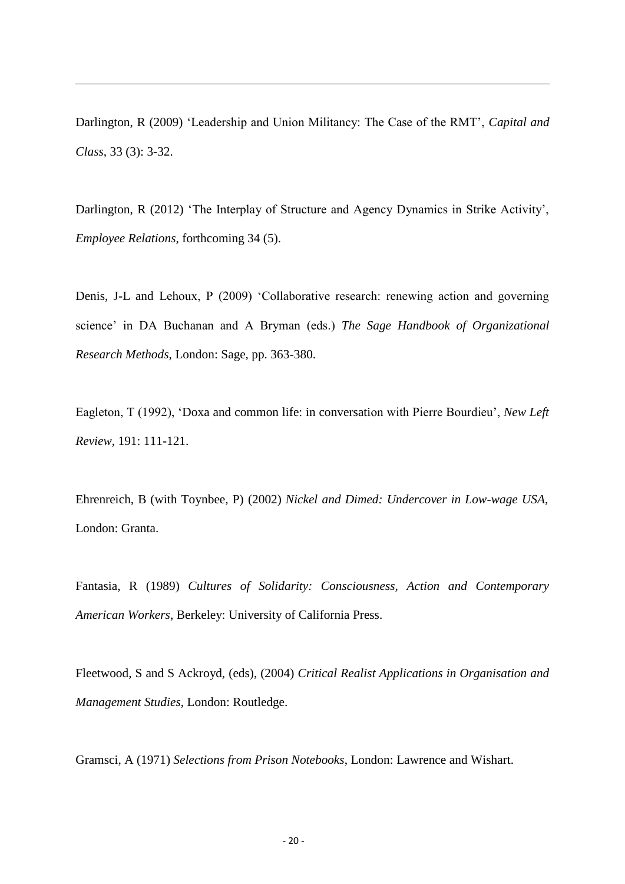Darlington, R (2009) 'Leadership and Union Militancy: The Case of the RMT', *Capital and Class*, 33 (3): 3-32.

<u>.</u>

Darlington, R (2012) 'The Interplay of Structure and Agency Dynamics in Strike Activity', *Employee Relations*, forthcoming 34 (5).

Denis, J-L and Lehoux, P (2009) 'Collaborative research: renewing action and governing science' in DA Buchanan and A Bryman (eds.) *The Sage Handbook of Organizational Research Methods*, London: Sage, pp. 363-380.

Eagleton, T (1992), 'Doxa and common life: in conversation with Pierre Bourdieu', *New Left Review*, 191: 111-121.

Ehrenreich, B (with Toynbee, P) (2002) *Nickel and Dimed: Undercover in Low-wage USA*, London: Granta.

Fantasia, R (1989) *Cultures of Solidarity: Consciousness, Action and Contemporary American Workers*, Berkeley: University of California Press.

Fleetwood, S and S Ackroyd, (eds), (2004) *Critical Realist Applications in Organisation and Management Studies*, London: Routledge.

Gramsci, A (1971) *Selections from Prison Notebooks*, London: Lawrence and Wishart.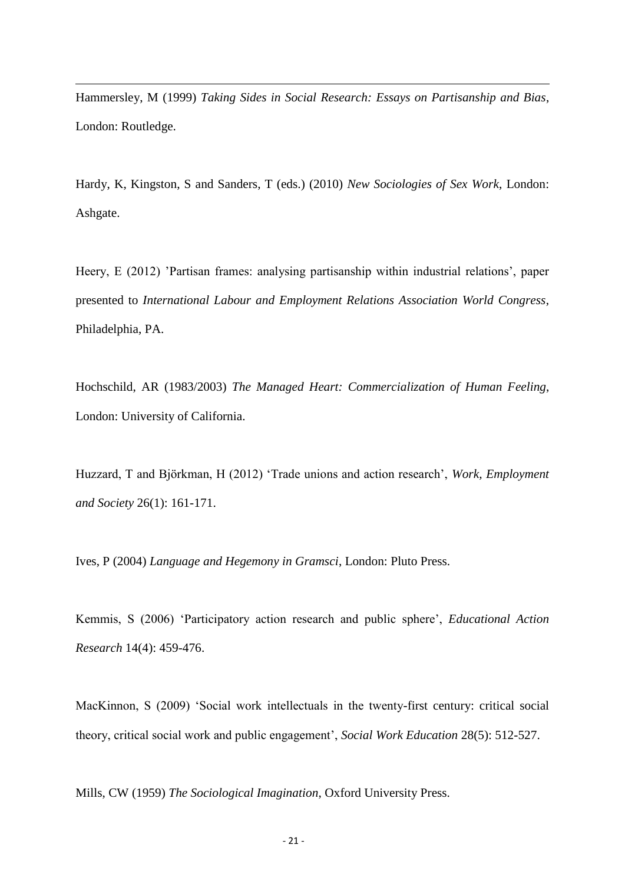Hammersley, M (1999) *Taking Sides in Social Research: Essays on Partisanship and Bias*, London: Routledge.

<u>.</u>

Hardy, K, Kingston, S and Sanders, T (eds.) (2010) *New Sociologies of Sex Work*, London: Ashgate.

Heery, E (2012) 'Partisan frames: analysing partisanship within industrial relations', paper presented to *International Labour and Employment Relations Association World Congress*, Philadelphia, PA.

Hochschild, AR (1983/2003) *The Managed Heart: Commercialization of Human Feeling*, London: University of California.

Huzzard, T and Björkman, H (2012) 'Trade unions and action research', *Work, Employment and Society* 26(1): 161-171.

Ives, P (2004) *Language and Hegemony in Gramsci*, London: Pluto Press.

Kemmis, S (2006) 'Participatory action research and public sphere', *Educational Action Research* 14(4): 459-476.

MacKinnon, S (2009) 'Social work intellectuals in the twenty-first century: critical social theory, critical social work and public engagement', *Social Work Education* 28(5): 512-527.

Mills, CW (1959) *The Sociological Imagination*, Oxford University Press.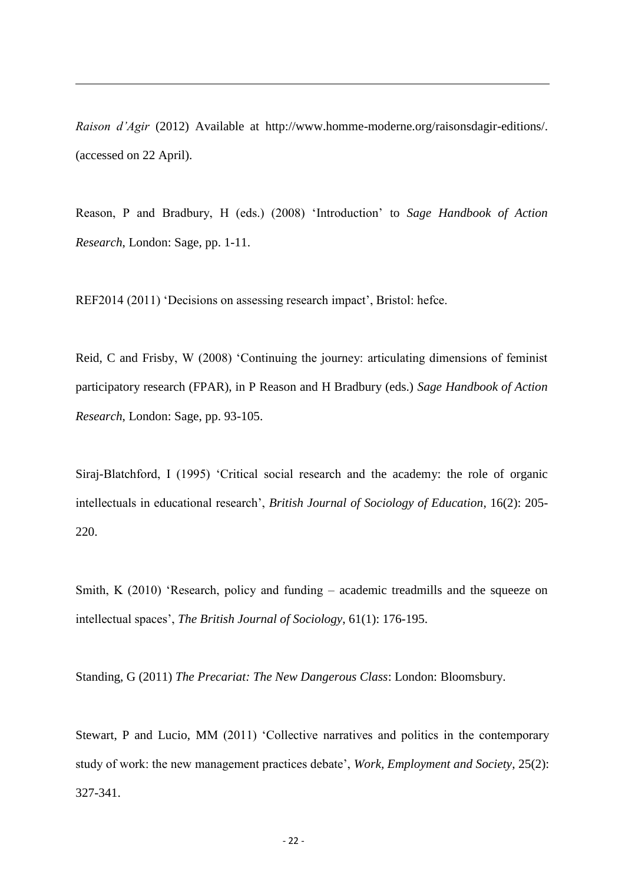*Raison d'Agir* (2012) Available at http://www.homme-moderne.org/raisonsdagir-editions/. (accessed on 22 April).

Reason, P and Bradbury, H (eds.) (2008) 'Introduction' to *Sage Handbook of Action Research*, London: Sage, pp. 1-11.

REF2014 (2011) 'Decisions on assessing research impact', Bristol: hefce.

<u>.</u>

Reid, C and Frisby, W (2008) 'Continuing the journey: articulating dimensions of feminist participatory research (FPAR), in P Reason and H Bradbury (eds.) *Sage Handbook of Action Research*, London: Sage, pp. 93-105.

Siraj-Blatchford, I (1995) 'Critical social research and the academy: the role of organic intellectuals in educational research', *British Journal of Sociology of Education*, 16(2): 205- 220.

Smith, K (2010) 'Research, policy and funding – academic treadmills and the squeeze on intellectual spaces', *The British Journal of Sociology*, 61(1): 176-195.

Standing, G (2011) *The Precariat: The New Dangerous Class*: London: Bloomsbury.

Stewart, P and Lucio, MM (2011) 'Collective narratives and politics in the contemporary study of work: the new management practices debate', *Work, Employment and Society*, 25(2): 327-341.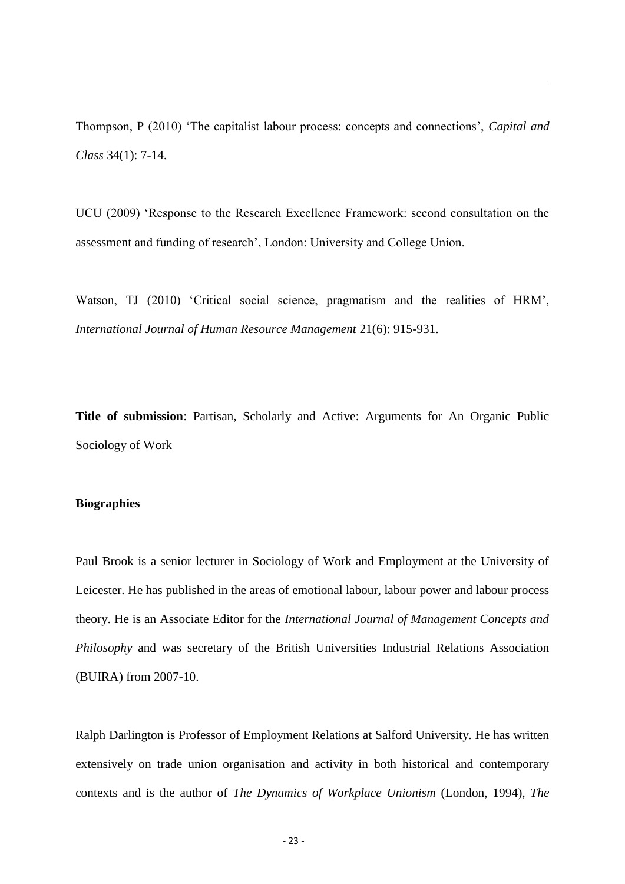Thompson, P (2010) 'The capitalist labour process: concepts and connections', *Capital and Class* 34(1): 7-14.

UCU (2009) 'Response to the Research Excellence Framework: second consultation on the assessment and funding of research', London: University and College Union.

Watson, TJ (2010) 'Critical social science, pragmatism and the realities of HRM', *International Journal of Human Resource Management* 21(6): 915-931.

**Title of submission**: Partisan, Scholarly and Active: Arguments for An Organic Public Sociology of Work

# **Biographies**

<u>.</u>

Paul Brook is a senior lecturer in Sociology of Work and Employment at the University of Leicester. He has published in the areas of emotional labour, labour power and labour process theory. He is an Associate Editor for the *International Journal of Management Concepts and Philosophy* and was secretary of the British Universities Industrial Relations Association (BUIRA) from 2007-10.

Ralph Darlington is Professor of Employment Relations at Salford University. He has written extensively on trade union organisation and activity in both historical and contemporary contexts and is the author of *The Dynamics of Workplace Unionism* (London, 1994), *The*